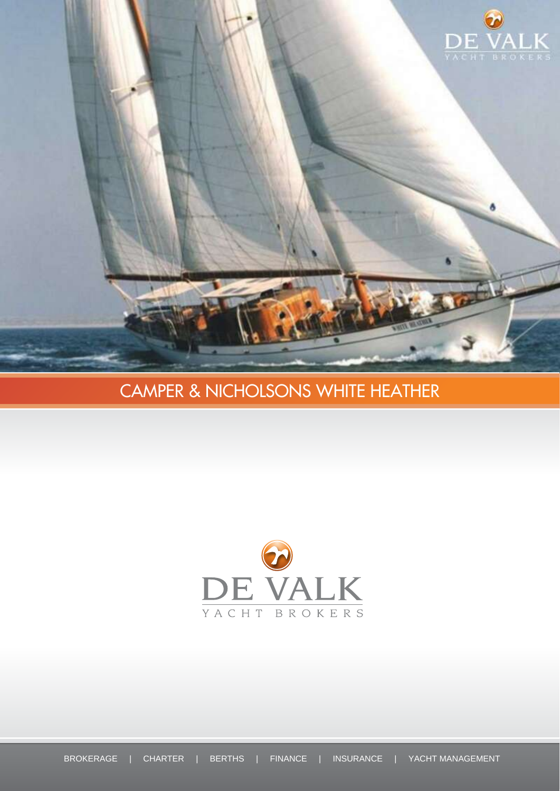

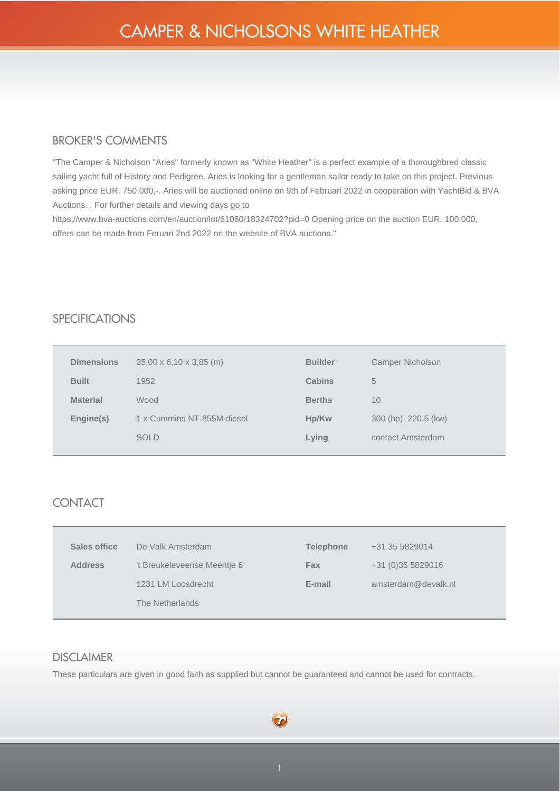#### **BROKER'S COMMENTS**

''The Camper & Nicholson "Aries" formerly known as "White Heather" is a perfect example of a thoroughbred classic sailing yacht full of History and Pedigree. Aries is looking for a gentleman sailor ready to take on this project. Previous asking price EUR. 750.000,-. Aries will be auctioned online on 9th of Februari 2022 in cooperation with YachtBid & BVA Auctions. . For further details and viewing days go to

https://www.bva-auctions.com/en/auction/lot/61060/18324702?pid=0 Opening price on the auction EUR. 100.000, offers can be made from Feruari 2nd 2022 on the website of BVA auctions.''

#### **SPECIFICATIONS**

| <b>Dimensions</b> | $35,00 \times 6,10 \times 3,85$ (m) | <b>Builder</b> | Camper Nicholson     |
|-------------------|-------------------------------------|----------------|----------------------|
| <b>Built</b>      | 1952                                | Cabins         | 5                    |
| <b>Material</b>   | Wood                                | <b>Berths</b>  | 10                   |
| Engine(s)         | 1 x Cummins NT-855M diesel          | Hp/Kw          | 300 (hp), 220,5 (kw) |
|                   | <b>SOLD</b>                         | Lying          | contact Amsterdam    |
|                   |                                     |                |                      |

### **CONTACT**

| Sales office   | De Valk Amsterdam           | <b>Telephone</b> | +31 35 5829014      |
|----------------|-----------------------------|------------------|---------------------|
| <b>Address</b> | 't Breukeleveense Meentje 6 | <b>Fax</b>       | +31 (0) 35 5829016  |
|                | 1231 LM Loosdrecht          | E-mail           | amsterdam@devalk.nl |
|                | The Netherlands             |                  |                     |

#### **DISCLAIMER**

These particulars are given in good faith as supplied but cannot be guaranteed and cannot be used for contracts.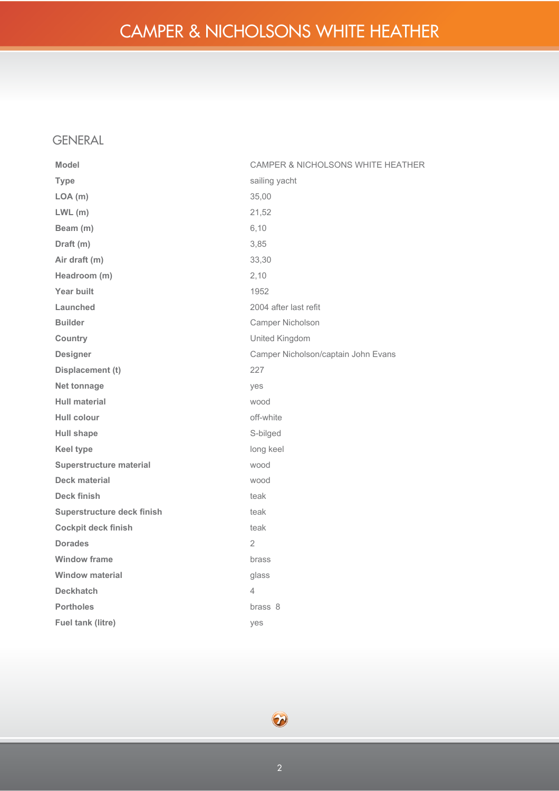### **GENERAL**

| <b>Model</b>                   | <b>CAMPER &amp; NICHOLSONS WHITE HEATHER</b> |
|--------------------------------|----------------------------------------------|
| <b>Type</b>                    | sailing yacht                                |
| LOA(m)                         | 35,00                                        |
| $LWL$ (m)                      | 21,52                                        |
| Beam (m)                       | 6,10                                         |
| Draft (m)                      | 3,85                                         |
| Air draft (m)                  | 33,30                                        |
| Headroom (m)                   | 2,10                                         |
| Year built                     | 1952                                         |
| Launched                       | 2004 after last refit                        |
| <b>Builder</b>                 | Camper Nicholson                             |
| Country                        | United Kingdom                               |
| <b>Designer</b>                | Camper Nicholson/captain John Evans          |
| Displacement (t)               | 227                                          |
| Net tonnage                    | yes                                          |
| <b>Hull material</b>           | wood                                         |
| <b>Hull colour</b>             | off-white                                    |
| <b>Hull shape</b>              | S-bilged                                     |
| <b>Keel type</b>               | long keel                                    |
| <b>Superstructure material</b> | wood                                         |
| Deck material                  | wood                                         |
| Deck finish                    | teak                                         |
| Superstructure deck finish     | teak                                         |
| <b>Cockpit deck finish</b>     | teak                                         |
| <b>Dorades</b>                 | $\overline{2}$                               |
| <b>Window frame</b>            | brass                                        |
| <b>Window material</b>         | glass                                        |
| <b>Deckhatch</b>               | $\overline{4}$                               |
| <b>Portholes</b>               | brass 8                                      |
| Fuel tank (litre)              | yes                                          |

 $\odot$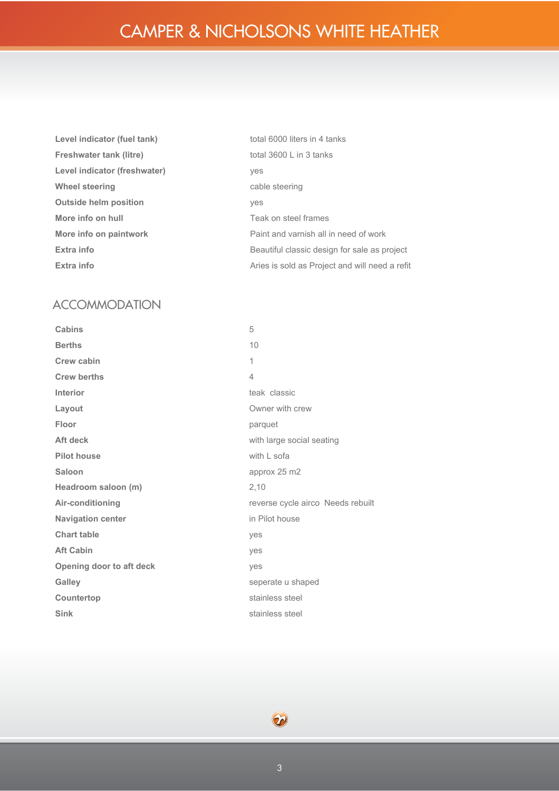| Level indicator (fuel tank)    | total 6000 liters in 4 tanks                   |
|--------------------------------|------------------------------------------------|
| <b>Freshwater tank (litre)</b> | total 3600 L in 3 tanks                        |
| Level indicator (freshwater)   | yes                                            |
| <b>Wheel steering</b>          | cable steering                                 |
| <b>Outside helm position</b>   | <b>ves</b>                                     |
| More info on hull              | Teak on steel frames                           |
| More info on paintwork         | Paint and varnish all in need of work          |
| Extra info                     | Beautiful classic design for sale as project   |
| Extra info                     | Aries is sold as Project and will need a refit |

### **ACCOMMODATION**

| 5                                 |
|-----------------------------------|
| 10                                |
| 1                                 |
| $\overline{4}$                    |
| teak classic                      |
| Owner with crew                   |
| parquet                           |
| with large social seating         |
| with $L$ sofa                     |
| approx 25 m2                      |
| 2,10                              |
| reverse cycle airco Needs rebuilt |
| in Pilot house                    |
| yes                               |
| yes                               |
| yes                               |
| seperate u shaped                 |
| stainless steel                   |
| stainless steel                   |
|                                   |

 $\odot$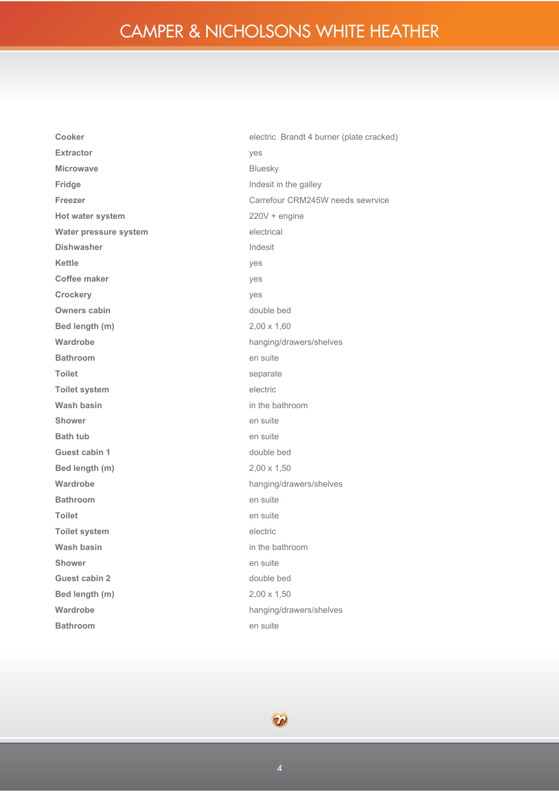**Extractor yes Microwave Bluesky Fridge Indesit in the galley Freezer Carrefour CRM245W needs sewrvice Hot water system 220V + engine Water pressure system electrical Dishwasher Indesit Kettle yes Coffee maker yes Crockery yes Owners cabin double** bed **Bed length (m) 2,00 x 1,60 Wardrobe hanging/drawers/shelves Bathroom en suite Toilet separate Toilet system electric Wash basin in** the bathroom **Shower en** suite **Bath tub en suite Guest cabin 1 double bed Bed length (m) 2,00 x 1,50 Wardrobe hanging/drawers/shelves Bathroom en** suite **Toilet en suite Toilet system electric Wash basin in the bathroom Shower en suite Guest cabin 2 double bed Bed length (m) 2,00 x 1,50 Wardrobe hanging/drawers/shelves Bathroom en suite**

**Cooker electric Brandt 4 burner (plate cracked)**

 $\odot$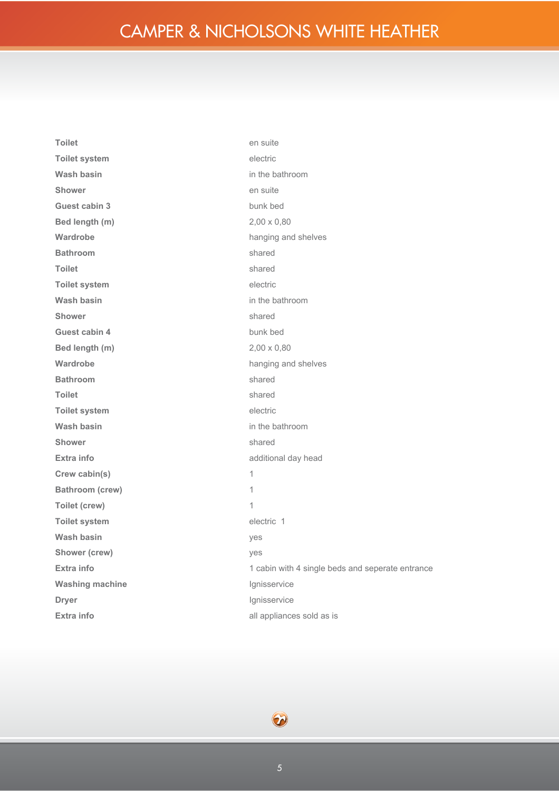**Toilet system electric Wash basin in the bathroom Shower en** suite **Guest cabin 3 bunk bed Bed length (m) 2,00 x 0,80 Wardrobe hanging and shelves Bathroom** shared **Toilet shared Toilet system electric Wash basin in the bathroom Shower shared Guest cabin 4 bunk bed Bed length (m) 2,00 x 0,80 Wardrobe hanging and shelves Bathroom** shared **Toilet shared Toilet system electric Wash basin in** the bathroom **Shower** shared **Extra info additional day head Crew cabin(s) 1 Bathroom (crew) 1 Toilet (crew) 1 Toilet system electric 1 Wash basin yes Shower (crew) yes Extra info 1 cabin with 4 single beds and seperate entrance Washing machine Ignisservice Dryer Ignisservice Extra info all appliances sold as is**

**Toilet en suite**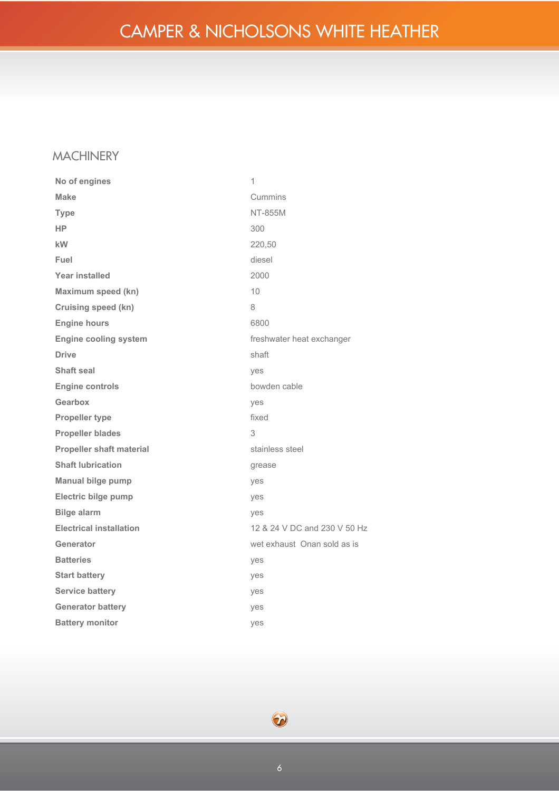### **MACHINERY**

| No of engines                   | 1                            |
|---------------------------------|------------------------------|
| <b>Make</b>                     | Cummins                      |
| <b>Type</b>                     | <b>NT-855M</b>               |
| HP.                             | 300                          |
| kW                              | 220,50                       |
| Fuel                            | diesel                       |
| Year installed                  | 2000                         |
| Maximum speed (kn)              | 10                           |
| <b>Cruising speed (kn)</b>      | 8                            |
| <b>Engine hours</b>             | 6800                         |
| <b>Engine cooling system</b>    | freshwater heat exchanger    |
| <b>Drive</b>                    | shaft                        |
| <b>Shaft seal</b>               | yes                          |
| <b>Engine controls</b>          | bowden cable                 |
| Gearbox                         | yes                          |
| <b>Propeller type</b>           | fixed                        |
| <b>Propeller blades</b>         | 3                            |
| <b>Propeller shaft material</b> | stainless steel              |
| <b>Shaft lubrication</b>        | grease                       |
| Manual bilge pump               | yes                          |
| <b>Electric bilge pump</b>      | yes                          |
| <b>Bilge alarm</b>              | yes                          |
| <b>Electrical installation</b>  | 12 & 24 V DC and 230 V 50 Hz |
| Generator                       | wet exhaust Onan sold as is  |
| <b>Batteries</b>                | yes                          |
| <b>Start battery</b>            | yes                          |
| <b>Service battery</b>          | yes                          |
| <b>Generator battery</b>        | yes                          |
| <b>Battery monitor</b>          | yes                          |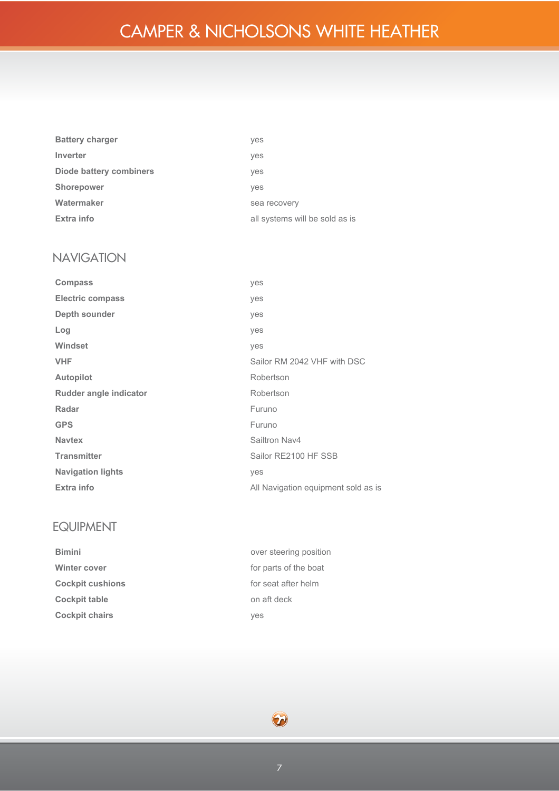| <b>Battery charger</b>  | yes                            |
|-------------------------|--------------------------------|
| Inverter                | yes                            |
| Diode battery combiners | yes                            |
| Shorepower              | yes                            |
| Watermaker              | sea recovery                   |
| <b>Extra info</b>       | all systems will be sold as is |

### **NAVIGATION**

| <b>Compass</b>           | yes                                 |
|--------------------------|-------------------------------------|
| <b>Electric compass</b>  | yes                                 |
| Depth sounder            | yes                                 |
| Log                      | yes                                 |
| Windset                  | yes                                 |
| <b>VHF</b>               | Sailor RM 2042 VHF with DSC         |
| <b>Autopilot</b>         | Robertson                           |
| Rudder angle indicator   | Robertson                           |
| Radar                    | Furuno                              |
| <b>GPS</b>               | Furuno                              |
| <b>Navtex</b>            | Sailtron Nav4                       |
| <b>Transmitter</b>       | Sailor RE2100 HF SSB                |
| <b>Navigation lights</b> | yes                                 |
| Extra info               | All Navigation equipment sold as is |

#### **EQUIPMENT**

| <b>Bimini</b>           | over steering position |
|-------------------------|------------------------|
| <b>Winter cover</b>     | for parts of the boat  |
| <b>Cockpit cushions</b> | for seat after helm    |
| <b>Cockpit table</b>    | on aft deck            |
| <b>Cockpit chairs</b>   | yes                    |

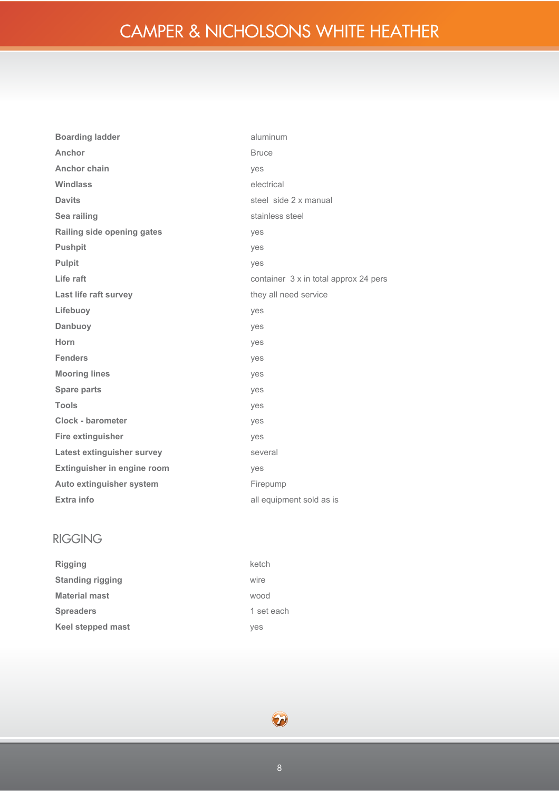| <b>Boarding ladder</b>      | aluminum                              |
|-----------------------------|---------------------------------------|
| Anchor                      | <b>Bruce</b>                          |
| Anchor chain                | ves                                   |
| <b>Windlass</b>             | electrical                            |
| <b>Davits</b>               | steel side 2 x manual                 |
| Sea railing                 | stainless steel                       |
| Railing side opening gates  | yes                                   |
| <b>Pushpit</b>              | yes                                   |
| <b>Pulpit</b>               | yes                                   |
| Life raft                   | container 3 x in total approx 24 pers |
| Last life raft survey       | they all need service                 |
| Lifebuoy                    | yes                                   |
| <b>Danbuoy</b>              | yes                                   |
| Horn                        | yes                                   |
| <b>Fenders</b>              | yes                                   |
| <b>Mooring lines</b>        | yes                                   |
| <b>Spare parts</b>          | yes                                   |
| <b>Tools</b>                | yes                                   |
| <b>Clock - barometer</b>    | yes                                   |
| Fire extinguisher           | yes                                   |
| Latest extinguisher survey  | several                               |
| Extinguisher in engine room | yes                                   |
| Auto extinguisher system    | Firepump                              |
| Extra info                  | all equipment sold as is              |

### **RIGGING**

| <b>Rigging</b>          | ketch      |
|-------------------------|------------|
| <b>Standing rigging</b> | wire       |
| <b>Material mast</b>    | wood       |
| <b>Spreaders</b>        | 1 set each |
| Keel stepped mast       | ves        |

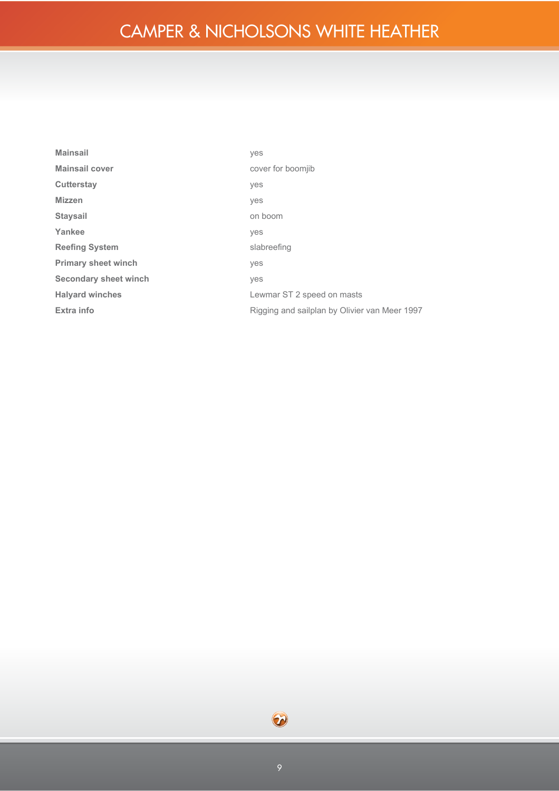| yes                                           |
|-----------------------------------------------|
| cover for boomjib                             |
| yes                                           |
| yes                                           |
| on boom                                       |
| yes                                           |
| slabreefing                                   |
| yes                                           |
| yes                                           |
| Lewmar ST 2 speed on masts                    |
| Rigging and sailplan by Olivier van Meer 1997 |
|                                               |

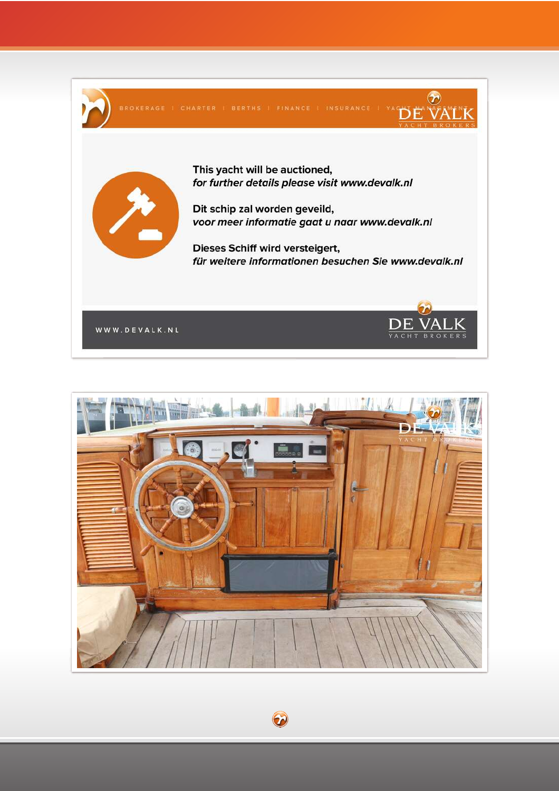# $8 $03(5 1, 8+2/6216 : +, 7(*157 + 15)$



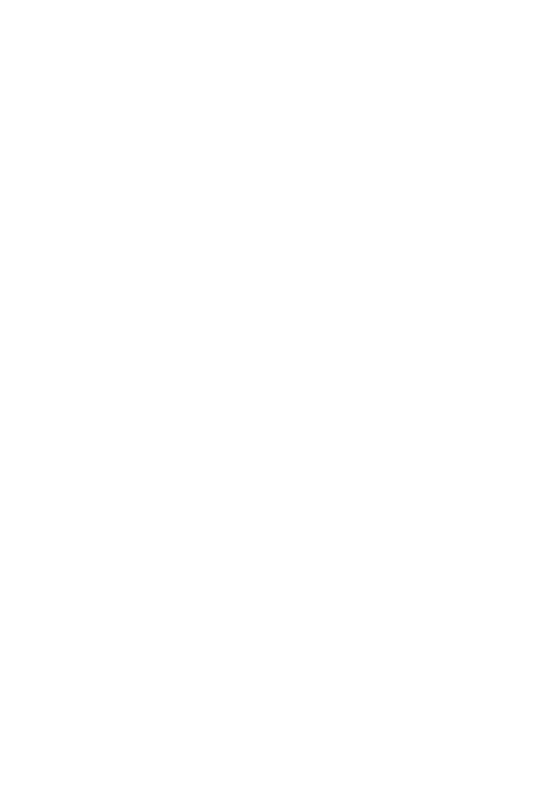| ---- |  |
|------|--|
|      |  |
|      |  |
|      |  |
|      |  |
|      |  |
|      |  |
|      |  |
|      |  |
|      |  |
|      |  |
|      |  |
|      |  |
|      |  |
|      |  |
|      |  |
|      |  |
|      |  |
|      |  |
|      |  |
|      |  |
|      |  |
|      |  |
|      |  |
|      |  |
|      |  |
|      |  |
|      |  |
|      |  |
|      |  |
|      |  |
|      |  |
|      |  |
|      |  |
|      |  |
|      |  |
|      |  |
|      |  |
|      |  |
|      |  |
|      |  |
|      |  |
|      |  |
|      |  |
|      |  |
|      |  |
|      |  |
|      |  |
|      |  |
|      |  |
|      |  |
|      |  |
|      |  |
|      |  |
|      |  |
|      |  |
|      |  |
|      |  |
|      |  |

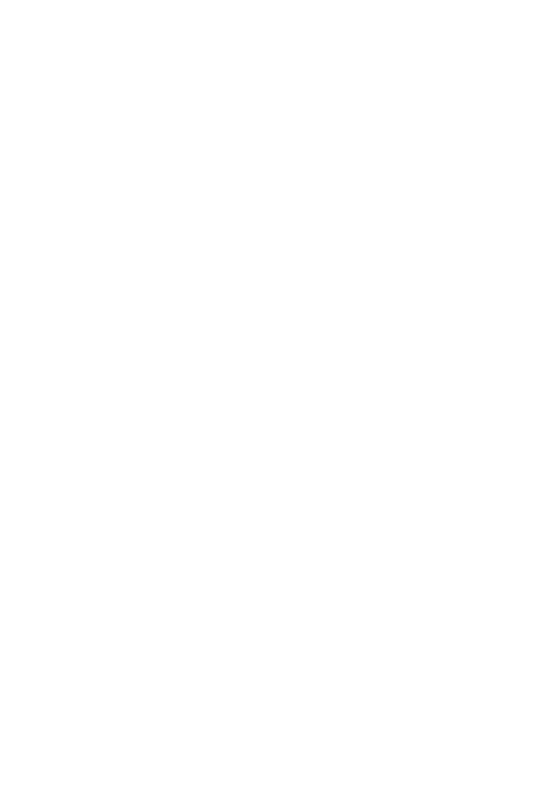| ---- |  |
|------|--|
|      |  |
|      |  |
|      |  |
|      |  |
|      |  |
|      |  |
|      |  |
|      |  |
|      |  |
|      |  |
|      |  |
|      |  |
|      |  |
|      |  |
|      |  |
|      |  |
|      |  |
|      |  |
|      |  |
|      |  |
|      |  |
|      |  |
|      |  |
|      |  |
|      |  |
|      |  |
|      |  |
|      |  |
|      |  |
|      |  |
|      |  |
|      |  |
|      |  |
|      |  |
|      |  |
|      |  |
|      |  |
|      |  |
|      |  |
|      |  |
|      |  |
|      |  |
|      |  |
|      |  |
|      |  |
|      |  |
|      |  |
|      |  |
|      |  |
|      |  |
|      |  |
|      |  |
|      |  |
|      |  |
|      |  |
|      |  |
|      |  |
|      |  |

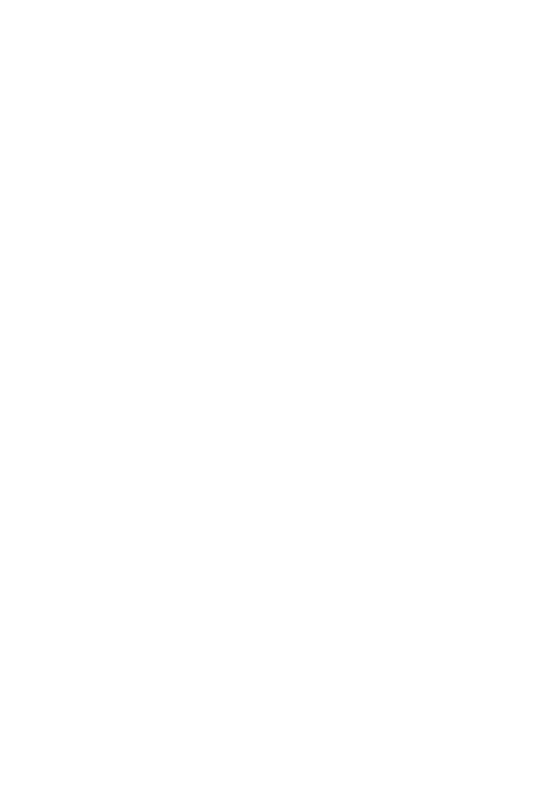| ---- |  |
|------|--|
|      |  |
|      |  |
|      |  |
|      |  |
|      |  |
|      |  |
|      |  |
|      |  |
|      |  |
|      |  |
|      |  |
|      |  |
|      |  |
|      |  |
|      |  |
|      |  |
|      |  |
|      |  |
|      |  |
|      |  |
|      |  |
|      |  |
|      |  |
|      |  |
|      |  |
|      |  |
|      |  |
|      |  |
|      |  |
|      |  |
|      |  |
|      |  |
|      |  |
|      |  |
|      |  |
|      |  |
|      |  |
|      |  |
|      |  |
|      |  |
|      |  |
|      |  |
|      |  |
|      |  |
|      |  |
|      |  |
|      |  |
|      |  |
|      |  |
|      |  |
|      |  |
|      |  |
|      |  |
|      |  |
|      |  |
|      |  |
|      |  |
|      |  |

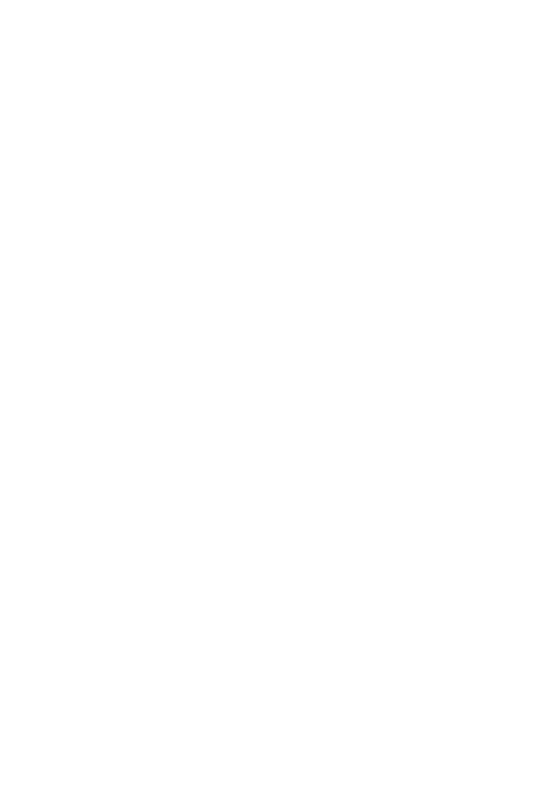| ---- |  |
|------|--|
|      |  |
|      |  |
|      |  |
|      |  |
|      |  |
|      |  |
|      |  |
|      |  |
|      |  |
|      |  |
|      |  |
|      |  |
|      |  |
|      |  |
|      |  |
|      |  |
|      |  |
|      |  |
|      |  |
|      |  |
|      |  |
|      |  |
|      |  |
|      |  |
|      |  |
|      |  |
|      |  |
|      |  |
|      |  |
|      |  |
|      |  |
|      |  |
|      |  |
|      |  |
|      |  |
|      |  |
|      |  |
|      |  |
|      |  |
|      |  |
|      |  |
|      |  |
|      |  |
|      |  |
|      |  |
|      |  |
|      |  |
|      |  |
|      |  |
|      |  |
|      |  |
|      |  |
|      |  |
|      |  |
|      |  |
|      |  |
|      |  |
|      |  |

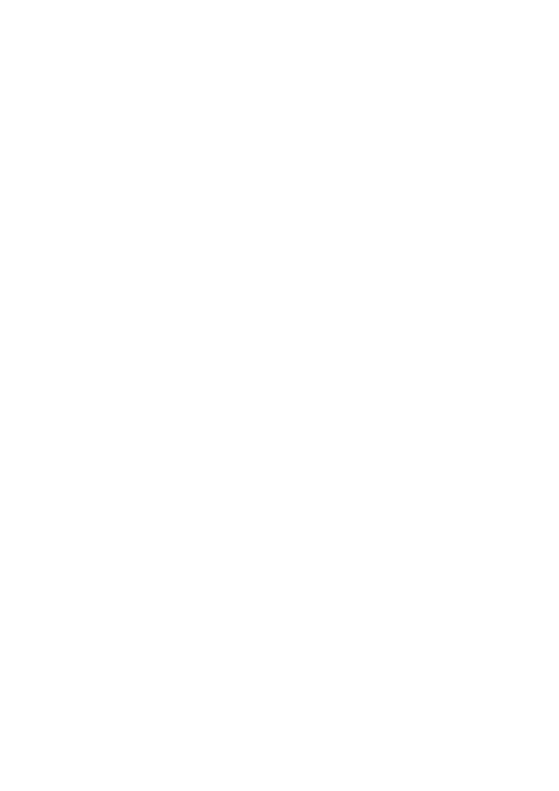| ---- |  |
|------|--|
|      |  |
|      |  |
|      |  |
|      |  |
|      |  |
|      |  |
|      |  |
|      |  |
|      |  |
|      |  |
|      |  |
|      |  |
|      |  |
|      |  |
|      |  |
|      |  |
|      |  |
|      |  |
|      |  |
|      |  |
|      |  |
|      |  |
|      |  |
|      |  |
|      |  |
|      |  |
|      |  |
|      |  |
|      |  |
|      |  |
|      |  |
|      |  |
|      |  |
|      |  |
|      |  |
|      |  |
|      |  |
|      |  |
|      |  |
|      |  |
|      |  |
|      |  |
|      |  |
|      |  |
|      |  |
|      |  |
|      |  |
|      |  |
|      |  |
|      |  |
|      |  |
|      |  |
|      |  |
|      |  |
|      |  |
|      |  |
|      |  |
|      |  |

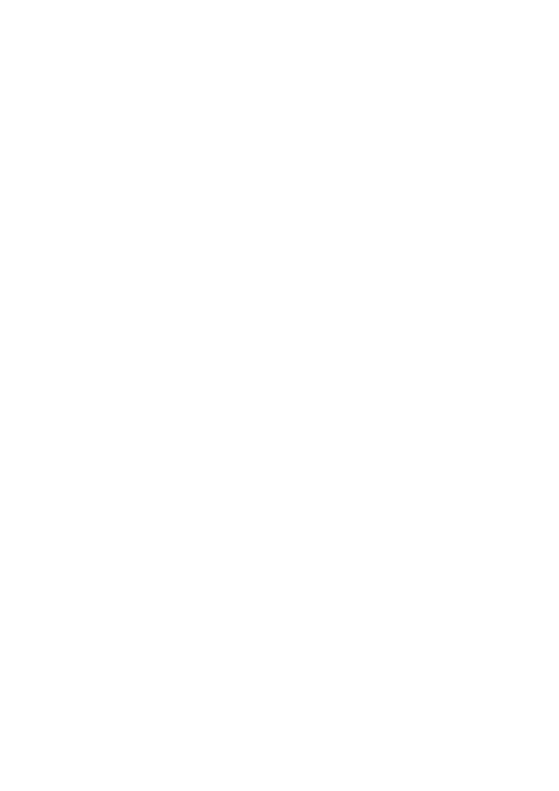| ---- |  |
|------|--|
|      |  |
|      |  |
|      |  |
|      |  |
|      |  |
|      |  |
|      |  |
|      |  |
|      |  |
|      |  |
|      |  |
|      |  |
|      |  |
|      |  |
|      |  |
|      |  |
|      |  |
|      |  |
|      |  |
|      |  |
|      |  |
|      |  |
|      |  |
|      |  |
|      |  |
|      |  |
|      |  |
|      |  |
|      |  |
|      |  |
|      |  |
|      |  |
|      |  |
|      |  |
|      |  |
|      |  |
|      |  |
|      |  |
|      |  |
|      |  |
|      |  |
|      |  |
|      |  |
|      |  |
|      |  |
|      |  |
|      |  |
|      |  |
|      |  |
|      |  |
|      |  |
|      |  |
|      |  |
|      |  |
|      |  |
|      |  |
|      |  |
|      |  |

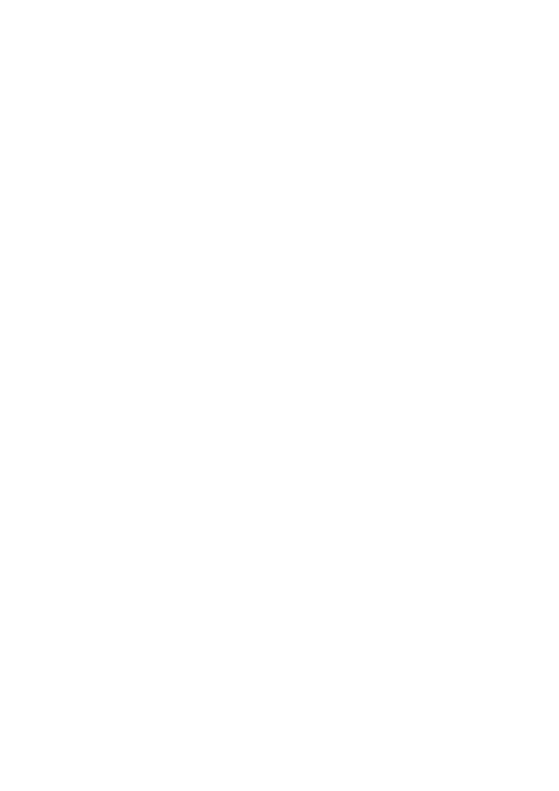| ---- |  |
|------|--|
|      |  |
|      |  |
|      |  |
|      |  |
|      |  |
|      |  |
|      |  |
|      |  |
|      |  |
|      |  |
|      |  |
|      |  |
|      |  |
|      |  |
|      |  |
|      |  |
|      |  |
|      |  |
|      |  |
|      |  |
|      |  |
|      |  |
|      |  |
|      |  |
|      |  |
|      |  |
|      |  |
|      |  |
|      |  |
|      |  |
|      |  |
|      |  |
|      |  |
|      |  |
|      |  |
|      |  |
|      |  |
|      |  |
|      |  |
|      |  |
|      |  |
|      |  |
|      |  |
|      |  |
|      |  |
|      |  |
|      |  |
|      |  |
|      |  |
|      |  |
|      |  |
|      |  |
|      |  |
|      |  |
|      |  |
|      |  |
|      |  |
|      |  |

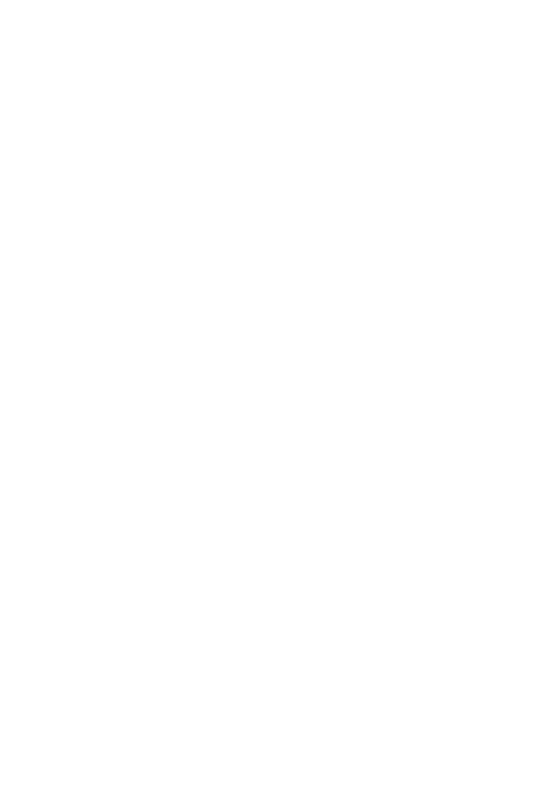| ---- |  |
|------|--|
|      |  |
|      |  |
|      |  |
|      |  |
|      |  |
|      |  |
|      |  |
|      |  |
|      |  |
|      |  |
|      |  |
|      |  |
|      |  |
|      |  |
|      |  |
|      |  |
|      |  |
|      |  |
|      |  |
|      |  |
|      |  |
|      |  |
|      |  |
|      |  |
|      |  |
|      |  |
|      |  |
|      |  |
|      |  |
|      |  |
|      |  |
|      |  |
|      |  |
|      |  |
|      |  |
|      |  |
|      |  |
|      |  |
|      |  |
|      |  |
|      |  |
|      |  |
|      |  |
|      |  |
|      |  |
|      |  |
|      |  |
|      |  |
|      |  |
|      |  |
|      |  |
|      |  |
|      |  |
|      |  |
|      |  |
|      |  |
|      |  |
|      |  |

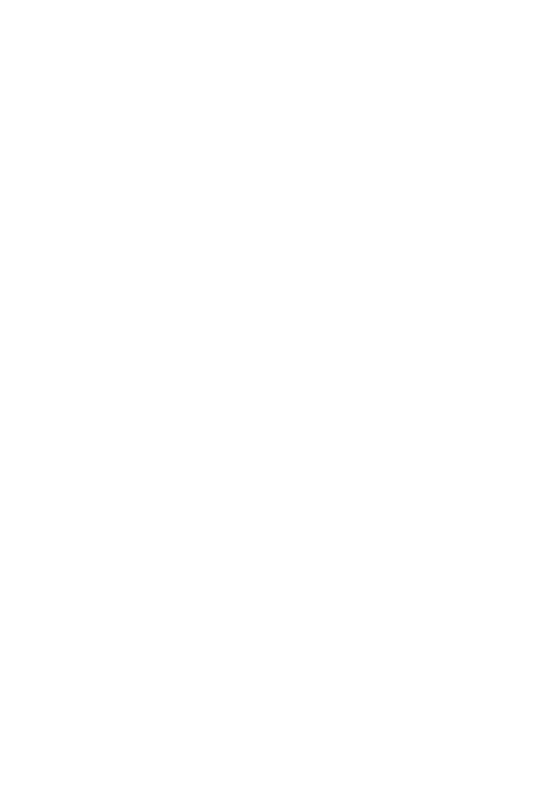| ---- |  |
|------|--|
|      |  |
|      |  |
|      |  |
|      |  |
|      |  |
|      |  |
|      |  |
|      |  |
|      |  |
|      |  |
|      |  |
|      |  |
|      |  |
|      |  |
|      |  |
|      |  |
|      |  |
|      |  |
|      |  |
|      |  |
|      |  |
|      |  |
|      |  |
|      |  |
|      |  |
|      |  |
|      |  |
|      |  |
|      |  |
|      |  |
|      |  |
|      |  |
|      |  |
|      |  |
|      |  |
|      |  |
|      |  |
|      |  |
|      |  |
|      |  |
|      |  |
|      |  |
|      |  |
|      |  |
|      |  |
|      |  |
|      |  |
|      |  |
|      |  |
|      |  |
|      |  |
|      |  |
|      |  |
|      |  |
|      |  |
|      |  |
|      |  |
|      |  |

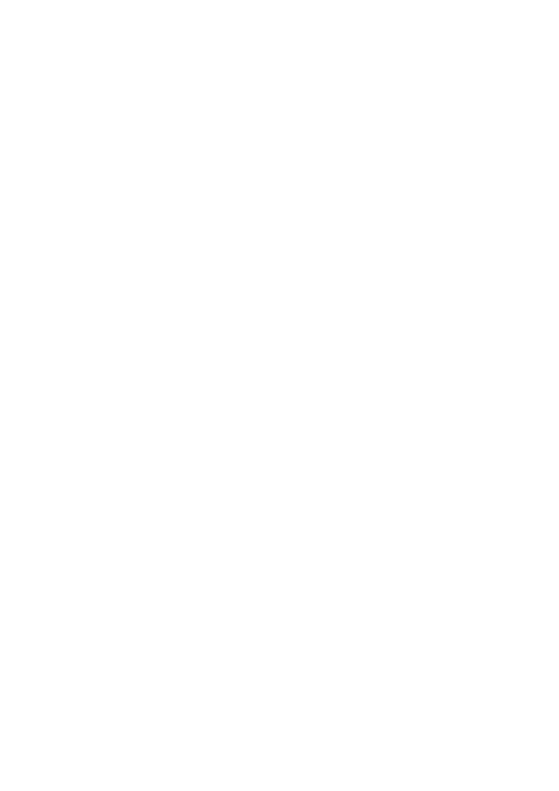| ---- |  |
|------|--|
|      |  |
|      |  |
|      |  |
|      |  |
|      |  |
|      |  |
|      |  |
|      |  |
|      |  |
|      |  |
|      |  |
|      |  |
|      |  |
|      |  |
|      |  |
|      |  |
|      |  |
|      |  |
|      |  |
|      |  |
|      |  |
|      |  |
|      |  |
|      |  |
|      |  |
|      |  |
|      |  |
|      |  |
|      |  |
|      |  |
|      |  |
|      |  |
|      |  |
|      |  |
|      |  |
|      |  |
|      |  |
|      |  |
|      |  |
|      |  |
|      |  |
|      |  |
|      |  |
|      |  |
|      |  |
|      |  |
|      |  |
|      |  |
|      |  |
|      |  |
|      |  |
|      |  |
|      |  |
|      |  |
|      |  |
|      |  |
|      |  |
|      |  |

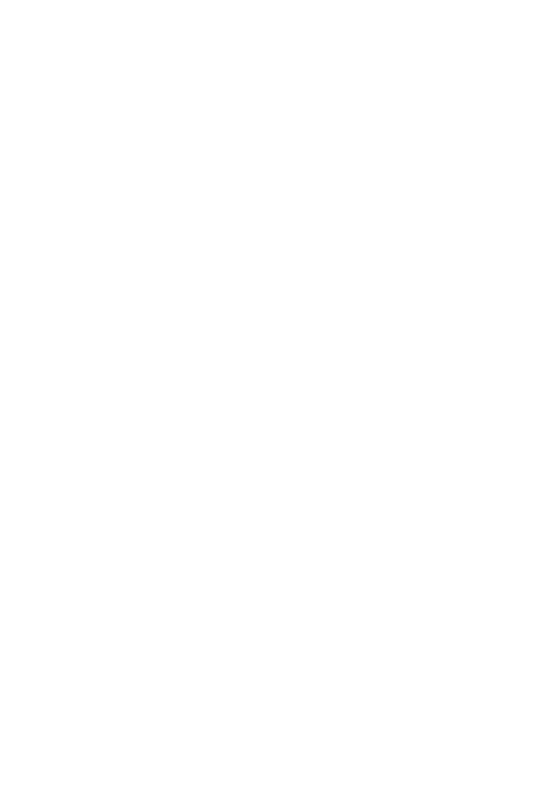| ---- |  |
|------|--|
|      |  |
|      |  |
|      |  |
|      |  |
|      |  |
|      |  |
|      |  |
|      |  |
|      |  |
|      |  |
|      |  |
|      |  |
|      |  |
|      |  |
|      |  |
|      |  |
|      |  |
|      |  |
|      |  |
|      |  |
|      |  |
|      |  |
|      |  |
|      |  |
|      |  |
|      |  |
|      |  |
|      |  |
|      |  |
|      |  |
|      |  |
|      |  |
|      |  |
|      |  |
|      |  |
|      |  |
|      |  |
|      |  |
|      |  |
|      |  |
|      |  |
|      |  |
|      |  |
|      |  |
|      |  |
|      |  |
|      |  |
|      |  |
|      |  |
|      |  |
|      |  |
|      |  |
|      |  |
|      |  |
|      |  |
|      |  |
|      |  |
|      |  |

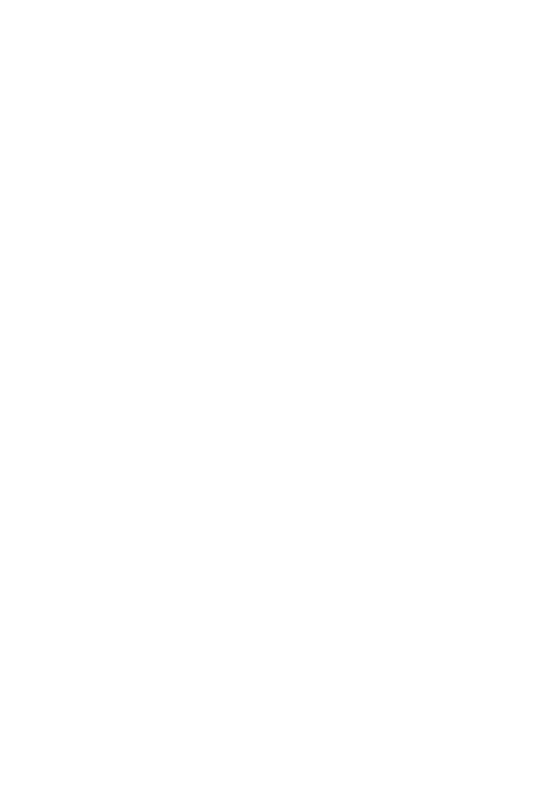| ---- |  |
|------|--|
|      |  |
|      |  |
|      |  |
|      |  |
|      |  |
|      |  |
|      |  |
|      |  |
|      |  |
|      |  |
|      |  |
|      |  |
|      |  |
|      |  |
|      |  |
|      |  |
|      |  |
|      |  |
|      |  |
|      |  |
|      |  |
|      |  |
|      |  |
|      |  |
|      |  |
|      |  |
|      |  |
|      |  |
|      |  |
|      |  |
|      |  |
|      |  |
|      |  |
|      |  |
|      |  |
|      |  |
|      |  |
|      |  |
|      |  |
|      |  |
|      |  |
|      |  |
|      |  |
|      |  |
|      |  |
|      |  |
|      |  |
|      |  |
|      |  |
|      |  |
|      |  |
|      |  |
|      |  |
|      |  |
|      |  |
|      |  |
|      |  |
|      |  |

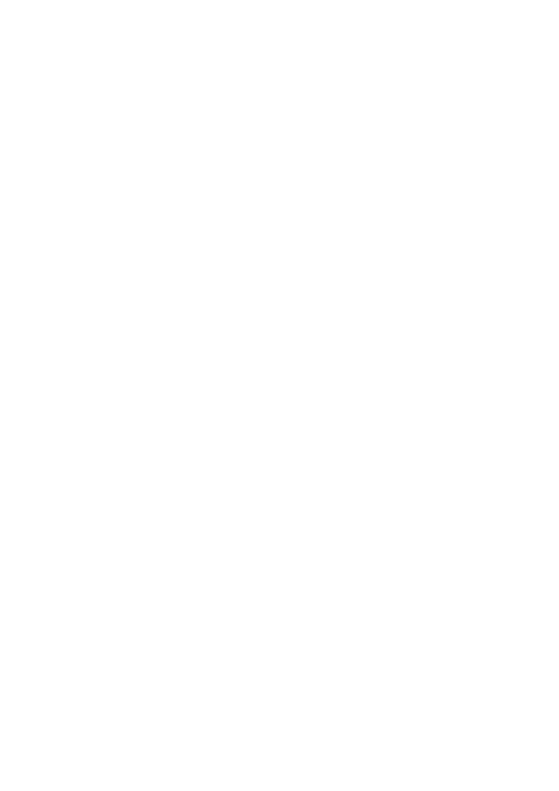| ---- |  |
|------|--|
|      |  |
|      |  |
|      |  |
|      |  |
|      |  |
|      |  |
|      |  |
|      |  |
|      |  |
|      |  |
|      |  |
|      |  |
|      |  |
|      |  |
|      |  |
|      |  |
|      |  |
|      |  |
|      |  |
|      |  |
|      |  |
|      |  |
|      |  |
|      |  |
|      |  |
|      |  |
|      |  |
|      |  |
|      |  |
|      |  |
|      |  |
|      |  |
|      |  |
|      |  |
|      |  |
|      |  |
|      |  |
|      |  |
|      |  |
|      |  |
|      |  |
|      |  |
|      |  |
|      |  |
|      |  |
|      |  |
|      |  |
|      |  |
|      |  |
|      |  |
|      |  |
|      |  |
|      |  |
|      |  |
|      |  |
|      |  |
|      |  |
|      |  |

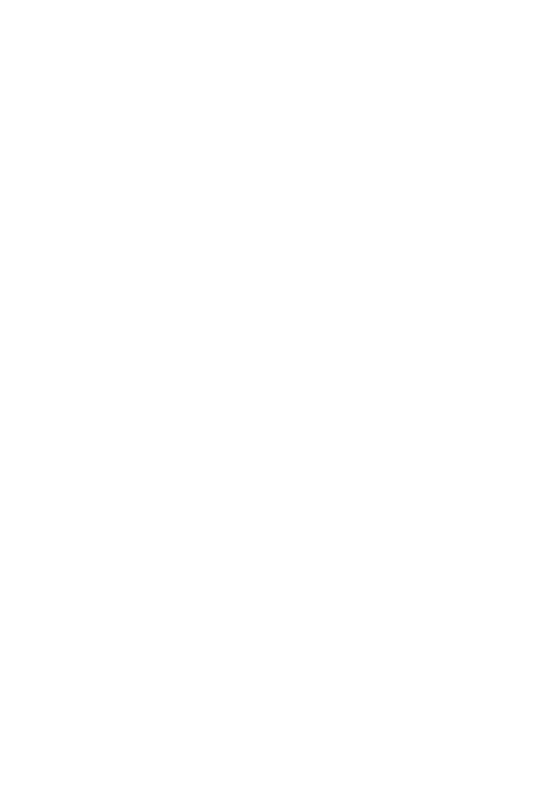| ---- |  |
|------|--|
|      |  |
|      |  |
|      |  |
|      |  |
|      |  |
|      |  |
|      |  |
|      |  |
|      |  |
|      |  |
|      |  |
|      |  |
|      |  |
|      |  |
|      |  |
|      |  |
|      |  |
|      |  |
|      |  |
|      |  |
|      |  |
|      |  |
|      |  |
|      |  |
|      |  |
|      |  |
|      |  |
|      |  |
|      |  |
|      |  |
|      |  |
|      |  |
|      |  |
|      |  |
|      |  |
|      |  |
|      |  |
|      |  |
|      |  |
|      |  |
|      |  |
|      |  |
|      |  |
|      |  |
|      |  |
|      |  |
|      |  |
|      |  |
|      |  |
|      |  |
|      |  |
|      |  |
|      |  |
|      |  |
|      |  |
|      |  |
|      |  |
|      |  |

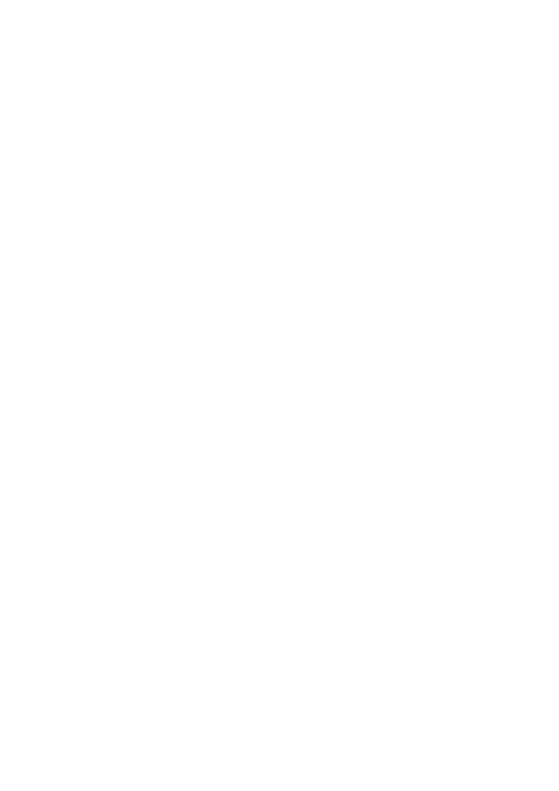| ---- |  |
|------|--|
|      |  |
|      |  |
|      |  |
|      |  |
|      |  |
|      |  |
|      |  |
|      |  |
|      |  |
|      |  |
|      |  |
|      |  |
|      |  |
|      |  |
|      |  |
|      |  |
|      |  |
|      |  |
|      |  |
|      |  |
|      |  |
|      |  |
|      |  |
|      |  |
|      |  |
|      |  |
|      |  |
|      |  |
|      |  |
|      |  |
|      |  |
|      |  |
|      |  |
|      |  |
|      |  |
|      |  |
|      |  |
|      |  |
|      |  |
|      |  |
|      |  |
|      |  |
|      |  |
|      |  |
|      |  |
|      |  |
|      |  |
|      |  |
|      |  |
|      |  |
|      |  |
|      |  |
|      |  |
|      |  |
|      |  |
|      |  |
|      |  |
|      |  |

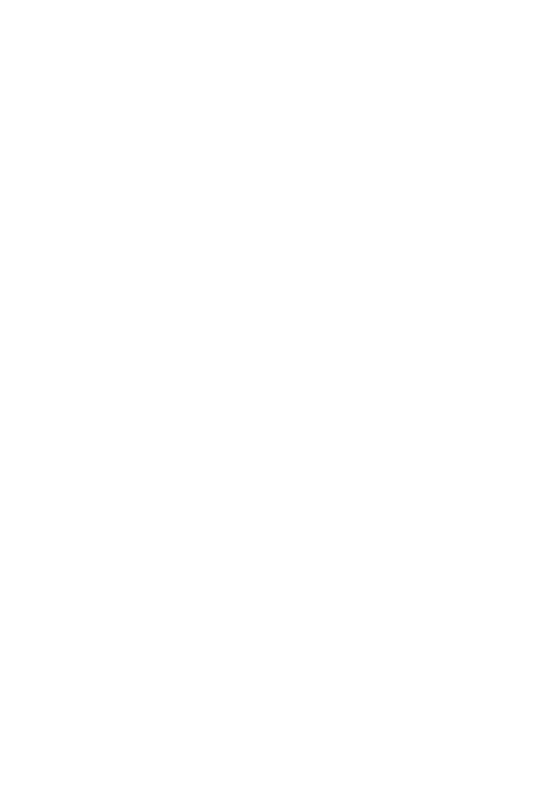| ---- |  |
|------|--|
|      |  |
|      |  |
|      |  |
|      |  |
|      |  |
|      |  |
|      |  |
|      |  |
|      |  |
|      |  |
|      |  |
|      |  |
|      |  |
|      |  |
|      |  |
|      |  |
|      |  |
|      |  |
|      |  |
|      |  |
|      |  |
|      |  |
|      |  |
|      |  |
|      |  |
|      |  |
|      |  |
|      |  |
|      |  |
|      |  |
|      |  |
|      |  |
|      |  |
|      |  |
|      |  |
|      |  |
|      |  |
|      |  |
|      |  |
|      |  |
|      |  |
|      |  |
|      |  |
|      |  |
|      |  |
|      |  |
|      |  |
|      |  |
|      |  |
|      |  |
|      |  |
|      |  |
|      |  |
|      |  |
|      |  |
|      |  |
|      |  |
|      |  |

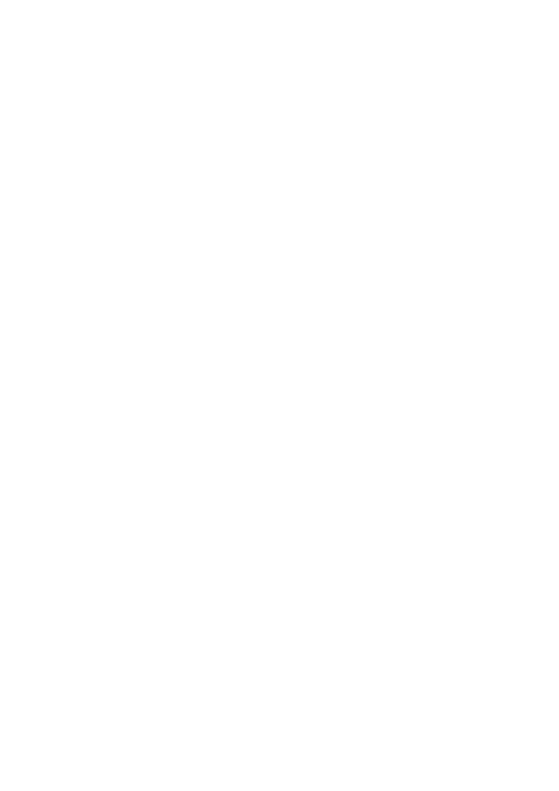| ---- |  |
|------|--|
|      |  |
|      |  |
|      |  |
|      |  |
|      |  |
|      |  |
|      |  |
|      |  |
|      |  |
|      |  |
|      |  |
|      |  |
|      |  |
|      |  |
|      |  |
|      |  |
|      |  |
|      |  |
|      |  |
|      |  |
|      |  |
|      |  |
|      |  |
|      |  |
|      |  |
|      |  |
|      |  |
|      |  |
|      |  |
|      |  |
|      |  |
|      |  |
|      |  |
|      |  |
|      |  |
|      |  |
|      |  |
|      |  |
|      |  |
|      |  |
|      |  |
|      |  |
|      |  |
|      |  |
|      |  |
|      |  |
|      |  |
|      |  |
|      |  |
|      |  |
|      |  |
|      |  |
|      |  |
|      |  |
|      |  |
|      |  |
|      |  |
|      |  |

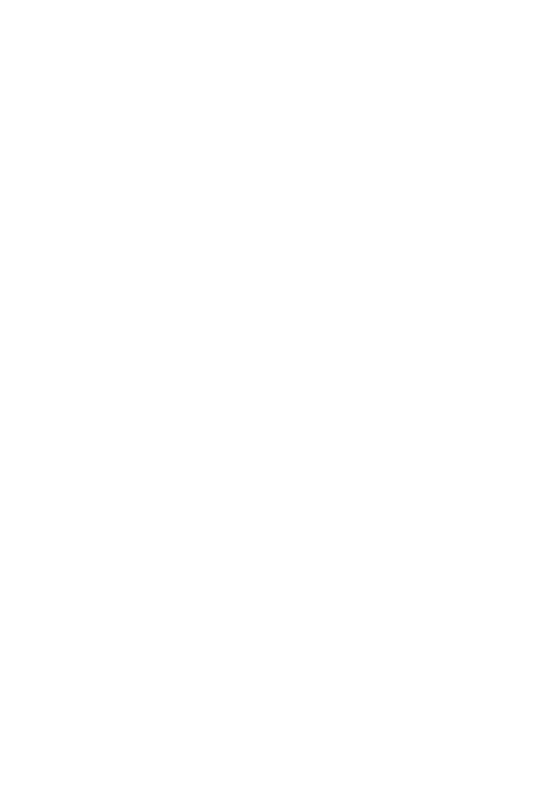| ---- |  |
|------|--|
|      |  |
|      |  |
|      |  |
|      |  |
|      |  |
|      |  |
|      |  |
|      |  |
|      |  |
|      |  |
|      |  |
|      |  |
|      |  |
|      |  |
|      |  |
|      |  |
|      |  |
|      |  |
|      |  |
|      |  |
|      |  |
|      |  |
|      |  |
|      |  |
|      |  |
|      |  |
|      |  |
|      |  |
|      |  |
|      |  |
|      |  |
|      |  |
|      |  |
|      |  |
|      |  |
|      |  |
|      |  |
|      |  |
|      |  |
|      |  |
|      |  |
|      |  |
|      |  |
|      |  |
|      |  |
|      |  |
|      |  |
|      |  |
|      |  |
|      |  |
|      |  |
|      |  |
|      |  |
|      |  |
|      |  |
|      |  |
|      |  |
|      |  |